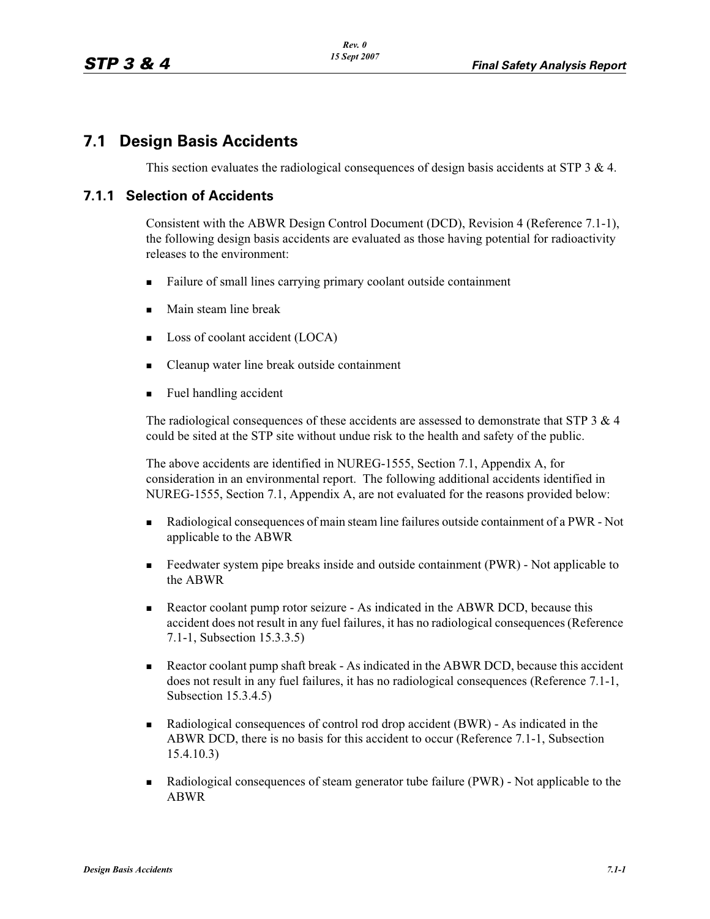## **7.1 Design Basis Accidents**

This section evaluates the radiological consequences of design basis accidents at STP 3 & 4.

#### **7.1.1 Selection of Accidents**

Consistent with the ABWR Design Control Document (DCD), Revision 4 (Reference 7.1-1), the following design basis accidents are evaluated as those having potential for radioactivity releases to the environment:

- -Failure of small lines carrying primary coolant outside containment
- -Main steam line break
- -Loss of coolant accident (LOCA)
- -Cleanup water line break outside containment
- -Fuel handling accident

The radiological consequences of these accidents are assessed to demonstrate that STP  $3 \& 4$ could be sited at the STP site without undue risk to the health and safety of the public.

The above accidents are identified in NUREG-1555, Section 7.1, Appendix A, for consideration in an environmental report. The following additional accidents identified in NUREG-1555, Section 7.1, Appendix A, are not evaluated for the reasons provided below:

- - Radiological consequences of main steam line failures outside containment of a PWR - Not applicable to the ABWR
- - Feedwater system pipe breaks inside and outside containment (PWR) - Not applicable to the ABWR
- - Reactor coolant pump rotor seizure - As indicated in the ABWR DCD, because this accident does not result in any fuel failures, it has no radiological consequences (Reference 7.1-1, Subsection 15.3.3.5)
- - Reactor coolant pump shaft break - As indicated in the ABWR DCD, because this accident does not result in any fuel failures, it has no radiological consequences (Reference 7.1-1, Subsection 15.3.4.5)
- - Radiological consequences of control rod drop accident (BWR) - As indicated in the ABWR DCD, there is no basis for this accident to occur (Reference 7.1-1, Subsection 15.4.10.3)
- - Radiological consequences of steam generator tube failure (PWR) - Not applicable to the ABWR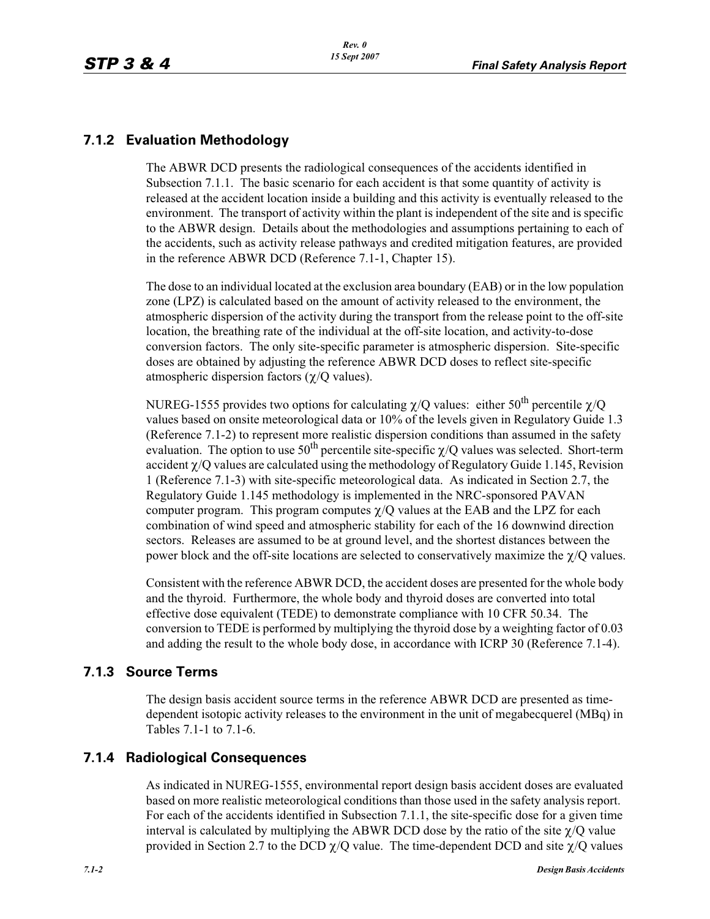### **7.1.2 Evaluation Methodology**

The ABWR DCD presents the radiological consequences of the accidents identified in Subsection 7.1.1. The basic scenario for each accident is that some quantity of activity is released at the accident location inside a building and this activity is eventually released to the environment. The transport of activity within the plant is independent of the site and is specific to the ABWR design. Details about the methodologies and assumptions pertaining to each of the accidents, such as activity release pathways and credited mitigation features, are provided in the reference ABWR DCD (Reference 7.1-1, Chapter 15).

The dose to an individual located at the exclusion area boundary (EAB) or in the low population zone (LPZ) is calculated based on the amount of activity released to the environment, the atmospheric dispersion of the activity during the transport from the release point to the off-site location, the breathing rate of the individual at the off-site location, and activity-to-dose conversion factors. The only site-specific parameter is atmospheric dispersion. Site-specific doses are obtained by adjusting the reference ABWR DCD doses to reflect site-specific atmospheric dispersion factors  $(\chi/Q)$  values).

NUREG-1555 provides two options for calculating  $\chi$ /Q values: either 50<sup>th</sup> percentile  $\chi$ /Q values based on onsite meteorological data or 10% of the levels given in Regulatory Guide 1.3 (Reference 7.1-2) to represent more realistic dispersion conditions than assumed in the safety evaluation. The option to use 50<sup>th</sup> percentile site-specific  $\chi$ /Q values was selected. Short-term accident  $\chi$ /Q values are calculated using the methodology of Regulatory Guide 1.145, Revision 1 (Reference 7.1-3) with site-specific meteorological data. As indicated in Section 2.7, the Regulatory Guide 1.145 methodology is implemented in the NRC-sponsored PAVAN computer program. This program computes  $\chi$ /Q values at the EAB and the LPZ for each combination of wind speed and atmospheric stability for each of the 16 downwind direction sectors. Releases are assumed to be at ground level, and the shortest distances between the power block and the off-site locations are selected to conservatively maximize the  $\chi$ /Q values.

Consistent with the reference ABWR DCD, the accident doses are presented for the whole body and the thyroid. Furthermore, the whole body and thyroid doses are converted into total effective dose equivalent (TEDE) to demonstrate compliance with 10 CFR 50.34. The conversion to TEDE is performed by multiplying the thyroid dose by a weighting factor of 0.03 and adding the result to the whole body dose, in accordance with ICRP 30 (Reference 7.1-4).

#### **7.1.3 Source Terms**

The design basis accident source terms in the reference ABWR DCD are presented as timedependent isotopic activity releases to the environment in the unit of megabecquerel (MBq) in Tables 7.1-1 to 7.1-6.

#### **7.1.4 Radiological Consequences**

As indicated in NUREG-1555, environmental report design basis accident doses are evaluated based on more realistic meteorological conditions than those used in the safety analysis report. For each of the accidents identified in Subsection 7.1.1, the site-specific dose for a given time interval is calculated by multiplying the ABWR DCD dose by the ratio of the site  $\chi$ /Q value provided in Section 2.7 to the DCD  $\chi$ /Q value. The time-dependent DCD and site  $\chi$ /Q values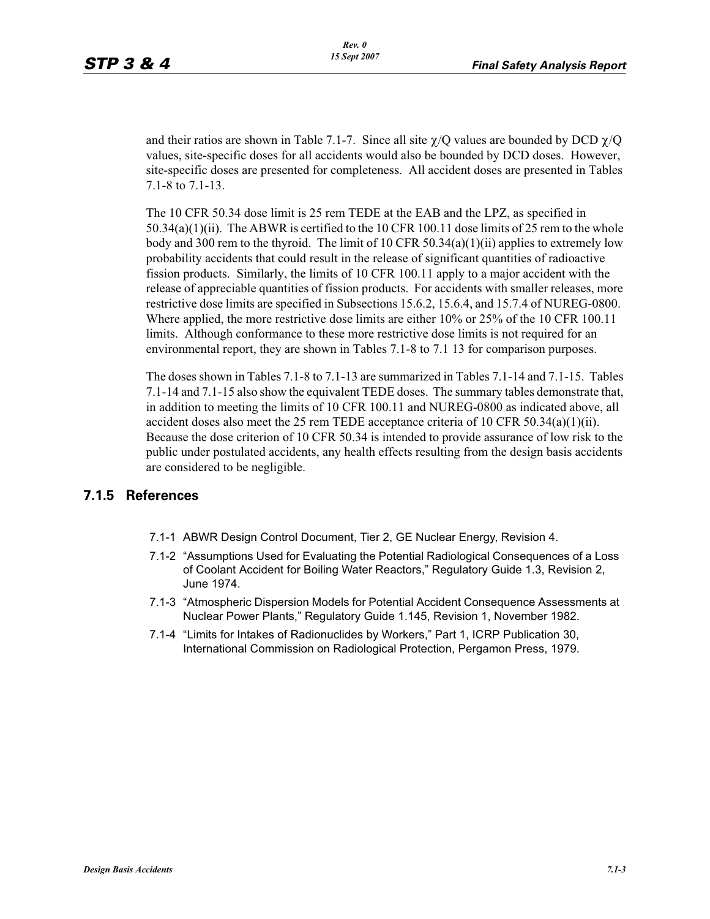and their ratios are shown in Table 7.1-7. Since all site  $\chi$ /Q values are bounded by DCD  $\chi$ /Q values, site-specific doses for all accidents would also be bounded by DCD doses. However, site-specific doses are presented for completeness. All accident doses are presented in Tables 7.1-8 to 7.1-13.

The 10 CFR 50.34 dose limit is 25 rem TEDE at the EAB and the LPZ, as specified in  $50.34(a)(1)(ii)$ . The ABWR is certified to the 10 CFR 100.11 dose limits of 25 rem to the whole body and 300 rem to the thyroid. The limit of 10 CFR  $50.34(a)(1)(ii)$  applies to extremely low probability accidents that could result in the release of significant quantities of radioactive fission products. Similarly, the limits of 10 CFR 100.11 apply to a major accident with the release of appreciable quantities of fission products. For accidents with smaller releases, more restrictive dose limits are specified in Subsections 15.6.2, 15.6.4, and 15.7.4 of NUREG-0800. Where applied, the more restrictive dose limits are either 10% or 25% of the 10 CFR 100.11 limits. Although conformance to these more restrictive dose limits is not required for an environmental report, they are shown in Tables 7.1-8 to 7.1 13 for comparison purposes.

The doses shown in Tables 7.1-8 to 7.1-13 are summarized in Tables 7.1-14 and 7.1-15. Tables 7.1-14 and 7.1-15 also show the equivalent TEDE doses. The summary tables demonstrate that, in addition to meeting the limits of 10 CFR 100.11 and NUREG-0800 as indicated above, all accident doses also meet the 25 rem TEDE acceptance criteria of 10 CFR 50.34(a)(1)(ii). Because the dose criterion of 10 CFR 50.34 is intended to provide assurance of low risk to the public under postulated accidents, any health effects resulting from the design basis accidents are considered to be negligible.

### **7.1.5 References**

- 7.1-1 ABWR Design Control Document, Tier 2, GE Nuclear Energy, Revision 4.
- 7.1-2 "Assumptions Used for Evaluating the Potential Radiological Consequences of a Loss of Coolant Accident for Boiling Water Reactors," Regulatory Guide 1.3, Revision 2, June 1974.
- 7.1-3 "Atmospheric Dispersion Models for Potential Accident Consequence Assessments at Nuclear Power Plants," Regulatory Guide 1.145, Revision 1, November 1982.
- 7.1-4 "Limits for Intakes of Radionuclides by Workers," Part 1, ICRP Publication 30, International Commission on Radiological Protection, Pergamon Press, 1979.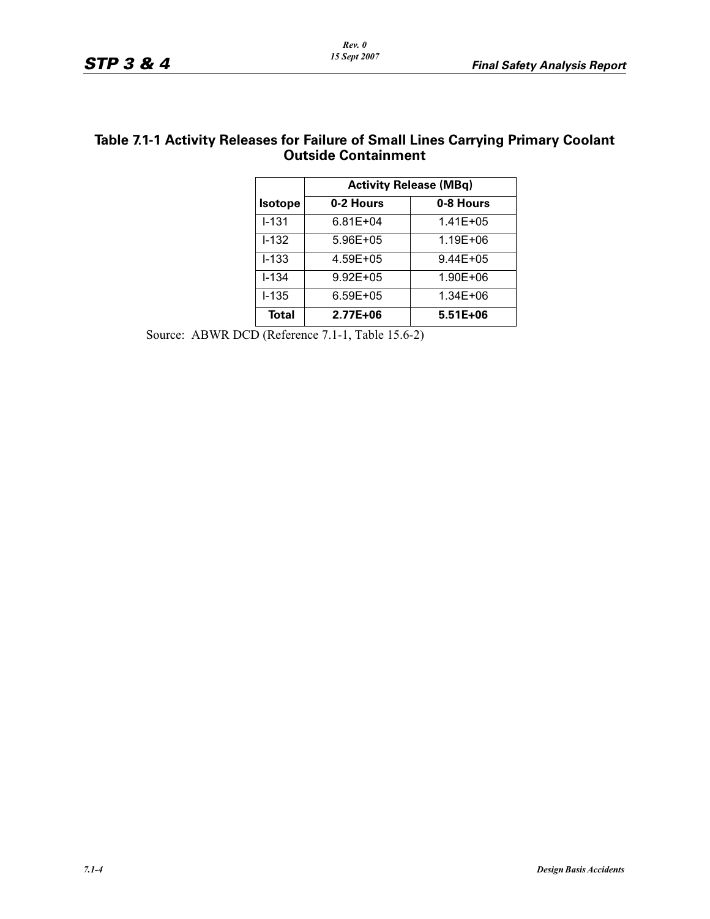| Table 7.1-1 Activity Releases for Failure of Small Lines Carrying Primary Coolant |  |
|-----------------------------------------------------------------------------------|--|
| <b>Outside Containment</b>                                                        |  |

|                | <b>Activity Release (MBq)</b> |              |  |  |  |
|----------------|-------------------------------|--------------|--|--|--|
| <b>Isotope</b> | 0-2 Hours                     | 0-8 Hours    |  |  |  |
| $I - 131$      | 6.81E+04                      | $1.41E + 05$ |  |  |  |
| $1 - 132$      | 5.96E+05                      | 1.19E+06     |  |  |  |
| $I - 133$      | 4.59E+05                      | $9.44E + 05$ |  |  |  |
| I-134          | $9.92E + 05$                  | 1.90E+06     |  |  |  |
| $1 - 135$      | 6.59E+05                      | 1.34E+06     |  |  |  |
| <b>Total</b>   | 2.77E+06                      | $5.51E+06$   |  |  |  |

Source: ABWR DCD (Reference 7.1-1, Table 15.6-2)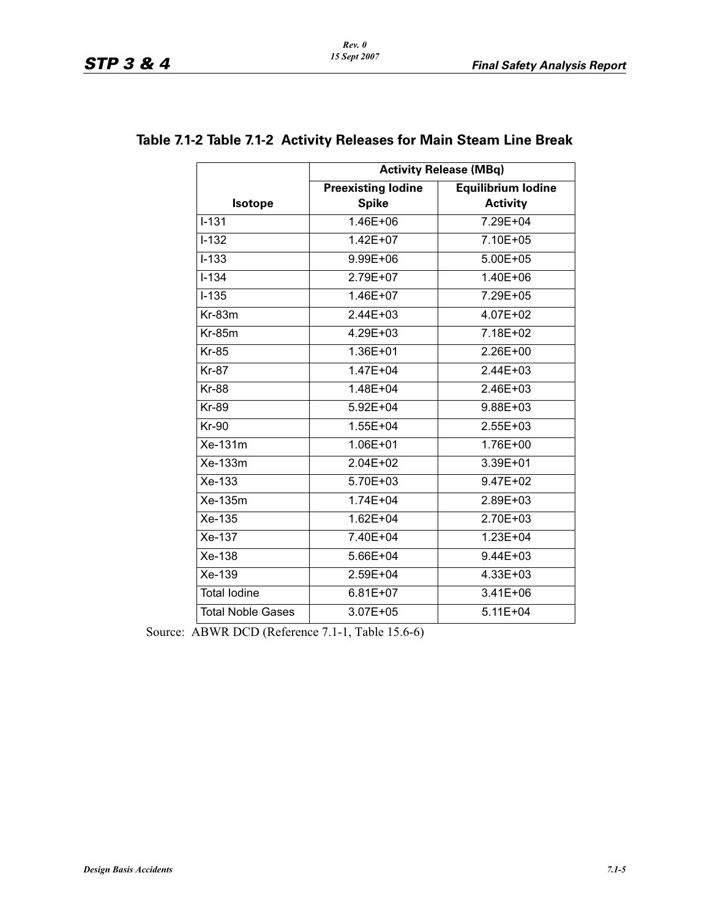|                          | <b>Activity Release (MBq)</b>             |                                              |  |  |  |  |
|--------------------------|-------------------------------------------|----------------------------------------------|--|--|--|--|
| <b>Isotope</b>           | <b>Preexisting lodine</b><br><b>Spike</b> | <b>Equilibrium lodine</b><br><b>Activity</b> |  |  |  |  |
| $I - 131$                | 1.46E+06                                  | 7.29E+04                                     |  |  |  |  |
| $I - 132$                | $1.42E + 07$                              | 7.10E+05                                     |  |  |  |  |
| $I - 133$                | 9.99E+06                                  | $5.00E + 05$                                 |  |  |  |  |
| $I - 134$                | 2.79E+07                                  | 1.40E+06                                     |  |  |  |  |
| $I - 135$                | 1.46E+07                                  | 7.29E+05                                     |  |  |  |  |
| $Kr-83m$                 | 2.44E+03                                  | 4.07E+02                                     |  |  |  |  |
| <b>Kr-85m</b>            | 4.29E+03                                  | 7.18E+02                                     |  |  |  |  |
| <b>Kr-85</b>             | 1.36E+01                                  | 2.26E+00                                     |  |  |  |  |
| <b>Kr-87</b>             | $1.47E + 04$                              | 2.44E+03                                     |  |  |  |  |
| <b>Kr-88</b>             | 1.48E+04                                  | 2.46E+03                                     |  |  |  |  |
| <b>Kr-89</b>             | 5.92E+04                                  | 9.88E+03                                     |  |  |  |  |
| <b>Kr-90</b>             | $1.55E + 04$                              | 2.55E+03                                     |  |  |  |  |
| Xe-131m                  | 1.06E+01                                  | 1.76E+00                                     |  |  |  |  |
| Xe-133m                  | $2.04E + 02$                              | 3.39E+01                                     |  |  |  |  |
| Xe-133                   | 5.70E+03                                  | 9.47E+02                                     |  |  |  |  |
| Xe-135m                  | $1.74E + 04$                              | 2.89E+03                                     |  |  |  |  |
| $\overline{X}$ e-135     | $1.62E + 04$                              | 2.70E+03                                     |  |  |  |  |
| Xe-137                   | 7.40E+04                                  | 1.23E+04                                     |  |  |  |  |
| Xe-138                   | 5.66E+04                                  | 9.44E+03                                     |  |  |  |  |
| Xe-139                   | 2.59E+04                                  | 4.33E+03                                     |  |  |  |  |
| <b>Total lodine</b>      | $6.81E + 07$                              | 3.41E+06                                     |  |  |  |  |
| <b>Total Noble Gases</b> | 3.07E+05                                  | $5.11E + 04$                                 |  |  |  |  |

### **Table 7.1-2 Table 7.1-2 Activity Releases for Main Steam Line Break**

Source: ABWR DCD (Reference 7.1-1, Table 15.6-6)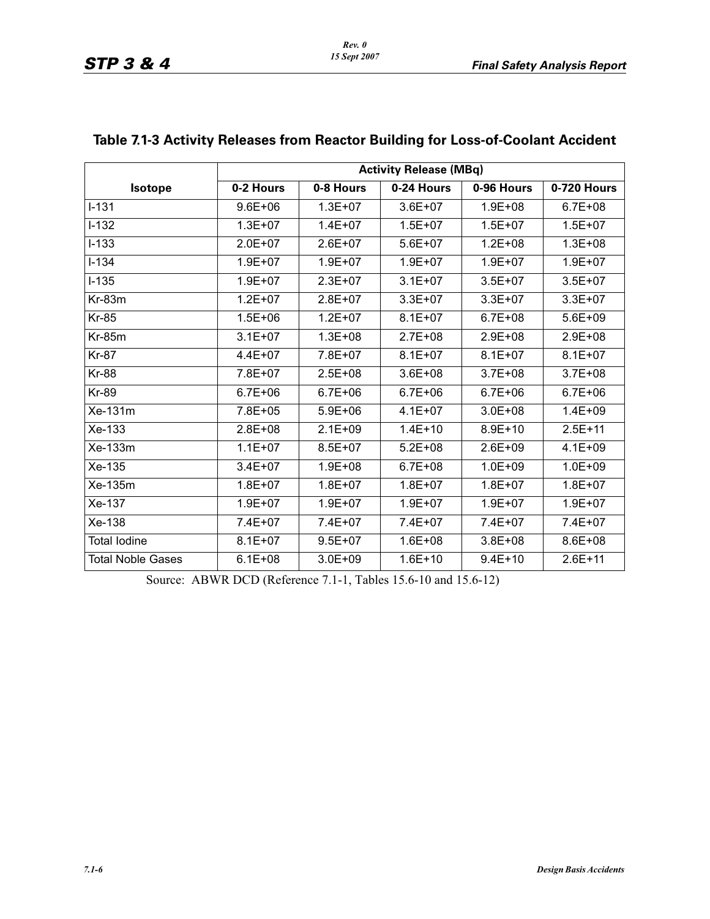|                          | <b>Activity Release (MBq)</b> |             |             |             |             |  |  |
|--------------------------|-------------------------------|-------------|-------------|-------------|-------------|--|--|
| <b>Isotope</b>           | 0-2 Hours                     | 0-8 Hours   | 0-24 Hours  | 0-96 Hours  | 0-720 Hours |  |  |
| $\overline{1} - 131$     | $9.6E + 06$                   | $1.3E + 07$ | $3.6E + 07$ | $1.9E + 08$ | $6.7E + 08$ |  |  |
| $I-132$                  | $1.3E + 07$                   | $1.4E + 07$ | $1.5E + 07$ | $1.5E + 07$ | $1.5E + 07$ |  |  |
| $I-133$                  | $2.0E + 07$                   | $2.6E + 07$ | $5.6E + 07$ | $1.2E + 08$ | $1.3E + 08$ |  |  |
| $I - 134$                | $1.9E + 07$                   | $1.9E + 07$ | $1.9E + 07$ | $1.9E + 07$ | $1.9E + 07$ |  |  |
| $I-135$                  | $1.9E + 07$                   | $2.3E + 07$ | $3.1E + 07$ | $3.5E + 07$ | $3.5E + 07$ |  |  |
| Kr-83m                   | $1.2E + 07$                   | $2.8E + 07$ | $3.3E + 07$ | $3.3E + 07$ | $3.3E + 07$ |  |  |
| <b>Kr-85</b>             | $1.5E + 06$                   | $1.2E + 07$ | $8.1E + 07$ | $6.7E + 08$ | $5.6E + 09$ |  |  |
| <b>Kr-85m</b>            | $3.1E + 07$                   | $1.3E + 08$ | $2.7E + 08$ | $2.9E + 08$ | $2.9E + 08$ |  |  |
| <b>Kr-87</b>             | $4.4E + 07$                   | 7.8E+07     | $8.1E + 07$ | $8.1E + 07$ | $8.1E + 07$ |  |  |
| <b>Kr-88</b>             | 7.8E+07                       | $2.5E + 08$ | $3.6E + 08$ | $3.7E + 08$ | $3.7E + 08$ |  |  |
| <b>Kr-89</b>             | $6.7E + 06$                   | $6.7E + 06$ | $6.7E + 06$ | $6.7E + 06$ | $6.7E + 06$ |  |  |
| Xe-131m                  | 7.8E+05                       | $5.9E + 06$ | $4.1E + 07$ | $3.0E + 08$ | $1.4E + 09$ |  |  |
| Xe-133                   | $2.8E + 08$                   | $2.1E + 09$ | $1.4E + 10$ | $8.9E + 10$ | $2.5E + 11$ |  |  |
| Xe-133m                  | $1.1E + 07$                   | $8.5E + 07$ | $5.2E + 08$ | $2.6E + 09$ | $4.1E + 09$ |  |  |
| Xe-135                   | $3.4E + 07$                   | $1.9E + 08$ | $6.7E + 08$ | $1.0E + 09$ | $1.0E + 09$ |  |  |
| Xe-135m                  | $1.8E + 07$                   | $1.8E + 07$ | $1.8E + 07$ | $1.8E + 07$ | $1.8E + 07$ |  |  |
| Xe-137                   | $1.9E + 07$                   | $1.9E + 07$ | $1.9E + 07$ | $1.9E + 07$ | $1.9E + 07$ |  |  |
| Xe-138                   | 7.4E+07                       | 7.4E+07     | 7.4E+07     | 7.4E+07     | 7.4E+07     |  |  |
| <b>Total lodine</b>      | $8.1E + 07$                   | $9.5E + 07$ | $1.6E + 08$ | $3.8E + 08$ | 8.6E+08     |  |  |
| <b>Total Noble Gases</b> | $6.1E + 08$                   | $3.0E + 09$ | $1.6E + 10$ | $9.4E + 10$ | $2.6E + 11$ |  |  |

## **Table 7.1-3 Activity Releases from Reactor Building for Loss-of-Coolant Accident**

*Rev. 0*

Source: ABWR DCD (Reference 7.1-1, Tables 15.6-10 and 15.6-12)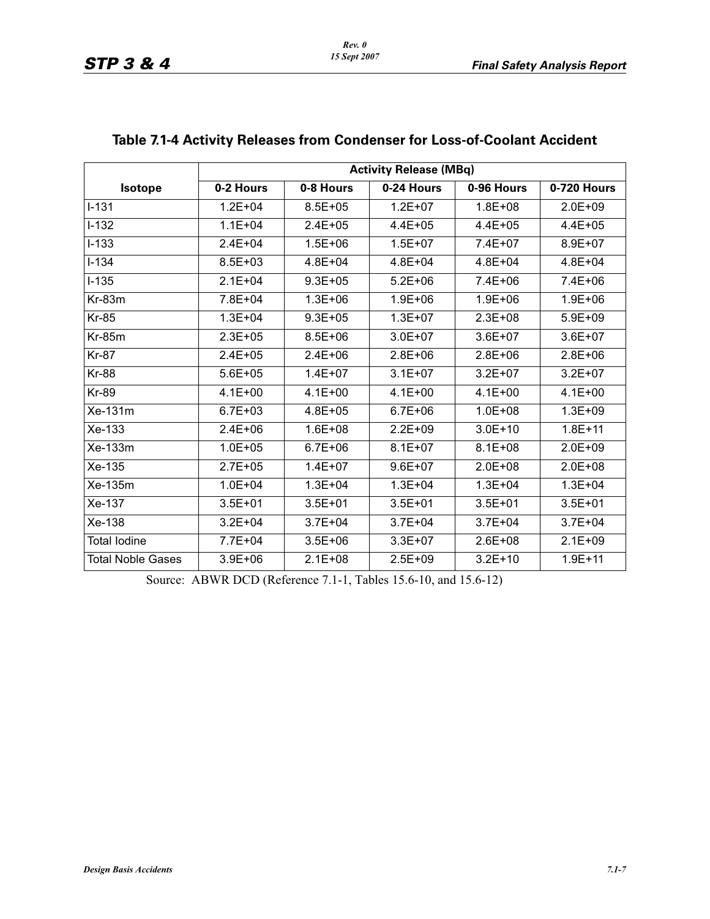|                          | <b>Activity Release (MBq)</b> |             |             |             |             |  |  |
|--------------------------|-------------------------------|-------------|-------------|-------------|-------------|--|--|
| Isotope                  | 0-2 Hours                     | 0-8 Hours   | 0-24 Hours  | 0-96 Hours  | 0-720 Hours |  |  |
| $I - 131$                | $1.2E + 04$                   | $8.5E + 05$ | $1.2E + 07$ | $1.8E + 08$ | $2.0E + 09$ |  |  |
| $I-132$                  | $1.1E + 04$                   | $2.4E + 05$ | $4.4E + 05$ | $4.4E + 05$ | $4.4E + 05$ |  |  |
| $I-133$                  | $2.4E + 04$                   | $1.5E + 06$ | $1.5E + 07$ | 7.4E+07     | 8.9E+07     |  |  |
| $I - 134$                | $8.5E + 03$                   | $4.8E + 04$ | $4.8E + 04$ | $4.8E + 04$ | $4.8E + 04$ |  |  |
| $I-135$                  | $2.1E + 04$                   | $9.3E + 05$ | $5.2E + 06$ | $7.4E + 06$ | $7.4E + 06$ |  |  |
| $Kr-83m$                 | 7.8E+04                       | $1.3E + 06$ | $1.9E + 06$ | $1.9E + 06$ | $1.9E + 06$ |  |  |
| <b>Kr-85</b>             | $1.3E + 04$                   | $9.3E + 05$ | $1.3E + 07$ | $2.3E + 08$ | $5.9E + 09$ |  |  |
| $Kr-85m$                 | $2.3E + 0.5$                  | $8.5E + 06$ | $3.0E + 07$ | $3.6E + 07$ | $3.6E + 07$ |  |  |
| <b>Kr-87</b>             | $2.4E + 05$                   | $2.4E + 06$ | $2.8E + 06$ | $2.8E + 06$ | $2.8E + 06$ |  |  |
| <b>Kr-88</b>             | $5.6E + 05$                   | $1.4E + 07$ | $3.1E + 07$ | $3.2E + 07$ | $3.2E + 07$ |  |  |
| <b>Kr-89</b>             | $4.1E + 00$                   | $4.1E + 00$ | $4.1E + 00$ | $4.1E + 00$ | $4.1E + 00$ |  |  |
| Xe-131m                  | $6.7E + 03$                   | $4.8E + 05$ | $6.7E + 06$ | $1.0E + 08$ | $1.3E + 09$ |  |  |
| $Xe-133$                 | $2.4E + 06$                   | $1.6E + 08$ | $2.2E + 09$ | $3.0E + 10$ | $1.8E + 11$ |  |  |
| Xe-133m                  | $1.0E + 05$                   | $6.7E + 06$ | $8.1E + 07$ | $8.1E + 08$ | $2.0E + 09$ |  |  |
| Xe-135                   | $2.7E + 05$                   | $1.4E + 07$ | $9.6E + 07$ | $2.0E + 08$ | $2.0E + 08$ |  |  |
| Xe-135m                  | $1.0E + 04$                   | $1.3E + 04$ | $1.3E + 04$ | $1.3E + 04$ | $1.3E + 04$ |  |  |
| Xe-137                   | $3.5E + 01$                   | $3.5E + 01$ | $3.5E + 01$ | $3.5E + 01$ | $3.5E + 01$ |  |  |
| Xe-138                   | $3.2E + 04$                   | $3.7E + 04$ | $3.7E + 04$ | $3.7E + 04$ | $3.7E + 04$ |  |  |
| <b>Total lodine</b>      | 7.7E+04                       | $3.5E + 06$ | $3.3E + 07$ | $2.6E + 08$ | $2.1E + 09$ |  |  |
| <b>Total Noble Gases</b> | $3.9E + 06$                   | $2.1E + 08$ | $2.5E + 09$ | $3.2E + 10$ | $1.9E + 11$ |  |  |

## **Table 7.1-4 Activity Releases from Condenser for Loss-of-Coolant Accident**

Source: ABWR DCD (Reference 7.1-1, Tables 15.6-10, and 15.6-12)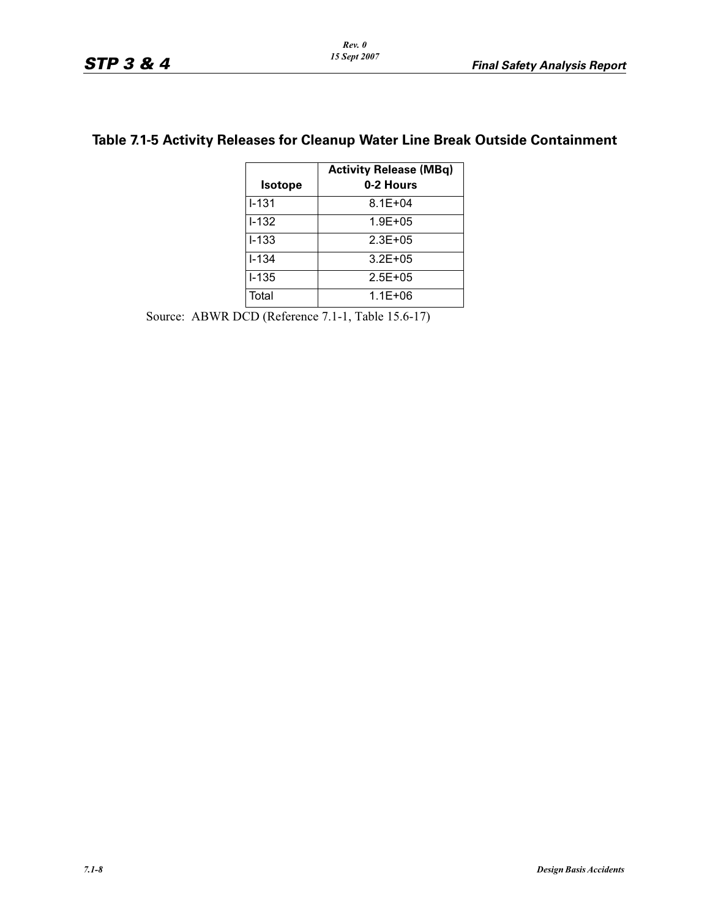| <b>Isotope</b> | <b>Activity Release (MBq)</b><br>0-2 Hours |
|----------------|--------------------------------------------|
| $1 - 131$      | $8.1E + 04$                                |
| $1 - 132$      | $1.9E + 0.5$                               |
| $I - 133$      | $2.3E + 0.5$                               |
| $1 - 1.34$     | $3.2E + 0.5$                               |
| $1 - 135$      | $2.5E + 0.5$                               |
| Total          | $1.1E + 06$                                |

### **Table 7.1-5 Activity Releases for Cleanup Water Line Break Outside Containment**

Source: ABWR DCD (Reference 7.1-1, Table 15.6-17)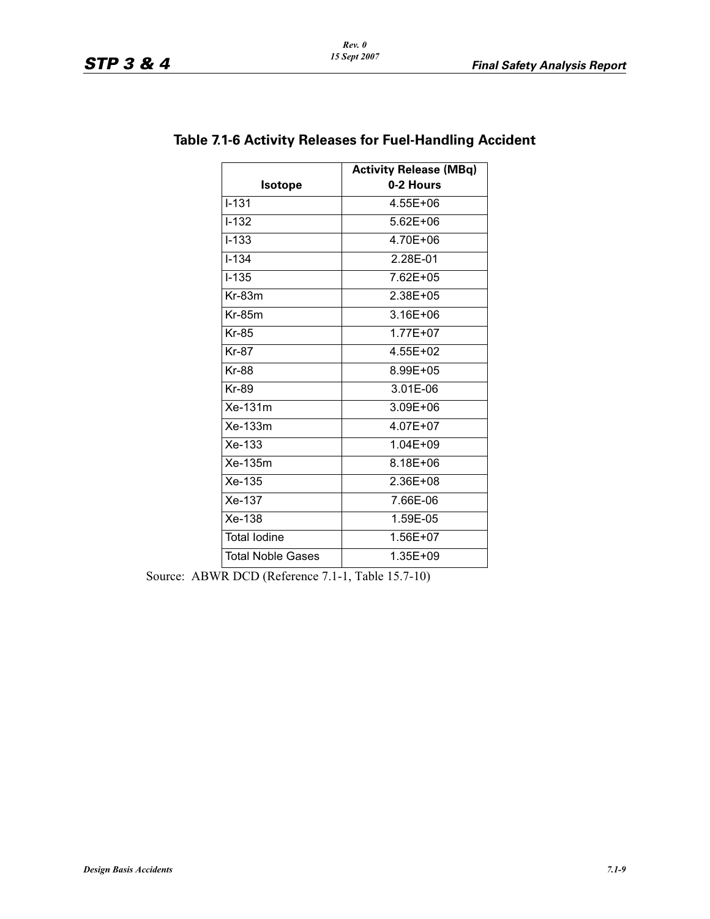|                          | <b>Activity Release (MBq)</b> |
|--------------------------|-------------------------------|
| <b>Isotope</b>           | 0-2 Hours                     |
| $I - 131$                | 4.55E+06                      |
| $1 - 132$                | $5.62E + 06$                  |
| $I - 133$                | 4.70E+06                      |
| $1 - 1.34$               | 2.28E-01                      |
| $I - 135$                | 7.62E+05                      |
| $Kr-83m$                 | 2.38E+05                      |
| $Kr-85m$                 | 3.16E+06                      |
| <b>Kr-85</b>             | $1.77E + 07$                  |
| Kr-87                    | 4.55E+02                      |
| Kr-88                    | 8.99E+05                      |
| Kr-89                    | 3.01E-06                      |
| $Xe-131m$                | 3.09E+06                      |
| Xe-133m                  | 4.07E+07                      |
| $Xe-133$                 | $1.04E + 0.9$                 |
| Xe-135m                  | 8.18E+06                      |
| Xe-135                   | 2.36E+08                      |
| Xe-137                   | 7.66E-06                      |
| Xe-138                   | 1.59E-05                      |
| <b>Total lodine</b>      | 1.56E+07                      |
| <b>Total Noble Gases</b> | 1.35E+09                      |

### **Table 7.1-6 Activity Releases for Fuel-Handling Accident**

Source: ABWR DCD (Reference 7.1-1, Table 15.7-10)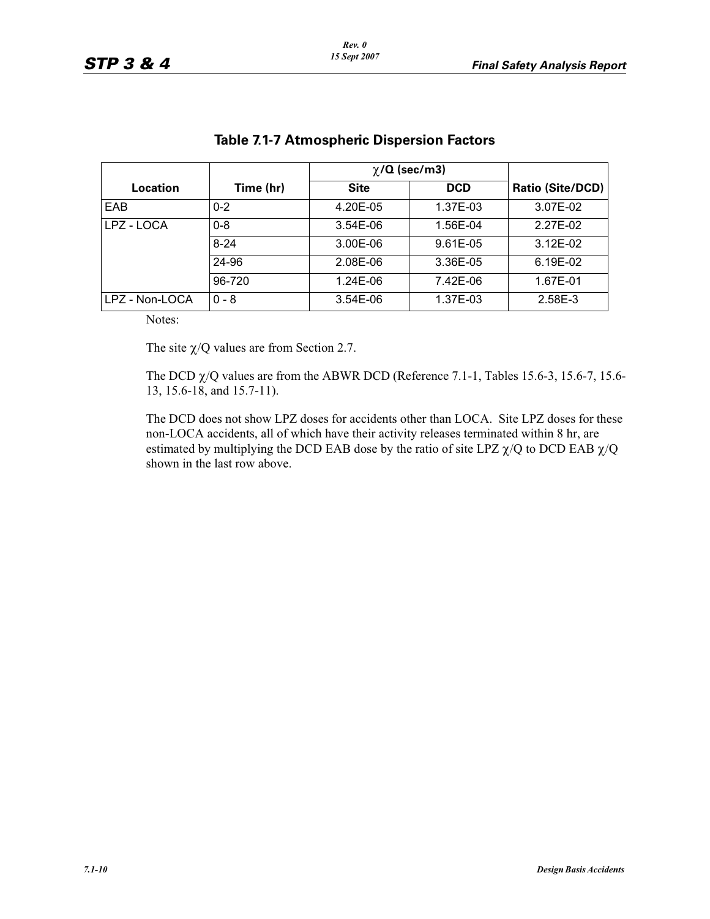|                |           | $\chi$ /Q (sec/m3) |            |                         |
|----------------|-----------|--------------------|------------|-------------------------|
| Location       | Time (hr) | <b>Site</b>        | <b>DCD</b> | <b>Ratio (Site/DCD)</b> |
| EAB            | $0 - 2$   | 4.20E-05           | 1.37E-03   | 3.07E-02                |
| LPZ - LOCA     | $0 - 8$   | $3.54E-06$         | 1.56E-04   | 2.27E-02                |
|                | $8 - 24$  | 3.00E-06           | 9.61E-05   | $3.12E - 02$            |
|                | 24-96     | 2.08E-06           | 3.36E-05   | 6.19E-02                |
|                | 96-720    | 1.24E-06           | 7.42E-06   | 1.67E-01                |
| LPZ - Non-LOCA | $0 - 8$   | 3.54E-06           | 1.37E-03   | 2.58E-3                 |

### **Table 7.1-7 Atmospheric Dispersion Factors**

Notes:

The site  $\chi$ /Q values are from Section 2.7.

The DCD  $\chi$ /Q values are from the ABWR DCD (Reference 7.1-1, Tables 15.6-3, 15.6-7, 15.6-13, 15.6-18, and 15.7-11).

The DCD does not show LPZ doses for accidents other than LOCA. Site LPZ doses for these non-LOCA accidents, all of which have their activity releases terminated within 8 hr, are estimated by multiplying the DCD EAB dose by the ratio of site LPZ  $\chi$ /Q to DCD EAB  $\chi$ /Q shown in the last row above.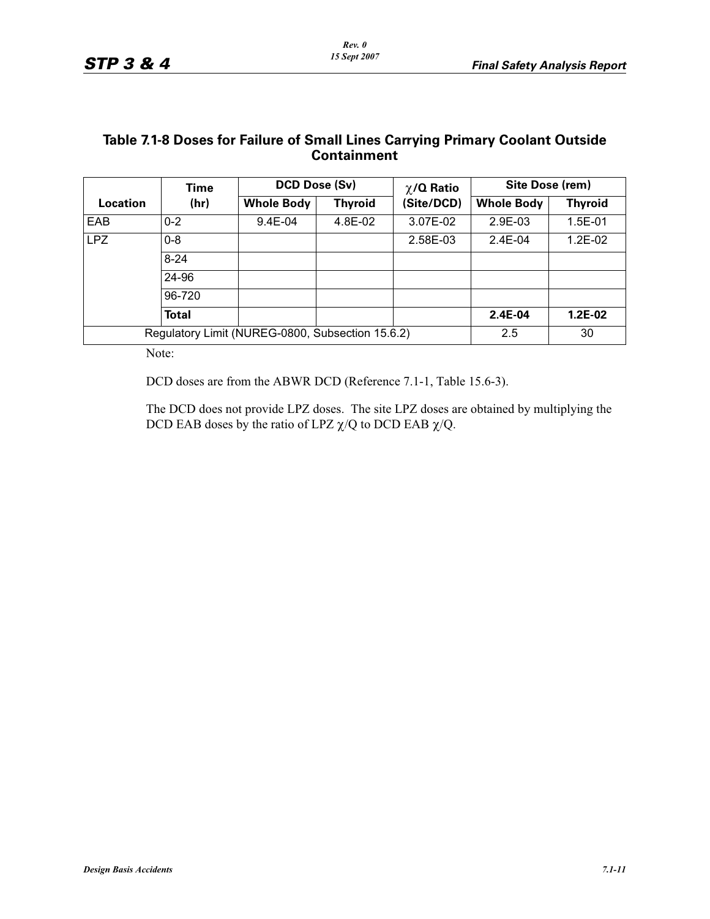#### **Table 7.1-8 Doses for Failure of Small Lines Carrying Primary Coolant Outside Containment**

|            | Time         | DCD Dose (Sv)                                    |                | $\chi$ /Q Ratio | Site Dose (rem)   |                |
|------------|--------------|--------------------------------------------------|----------------|-----------------|-------------------|----------------|
| Location   | (hr)         | <b>Whole Body</b>                                | <b>Thyroid</b> | (Site/DCD)      | <b>Whole Body</b> | <b>Thyroid</b> |
| <b>EAB</b> | $0 - 2$      | 9.4E-04                                          | 4.8E-02        | 3.07E-02        | 2.9E-03           | 1.5E-01        |
| <b>LPZ</b> | $0 - 8$      |                                                  |                | 2.58E-03        | $2.4E-04$         | 1.2E-02        |
|            | $8 - 24$     |                                                  |                |                 |                   |                |
|            | 24-96        |                                                  |                |                 |                   |                |
|            | 96-720       |                                                  |                |                 |                   |                |
|            | <b>Total</b> |                                                  |                |                 | 2.4E-04           | 1.2E-02        |
|            |              | Regulatory Limit (NUREG-0800, Subsection 15.6.2) |                |                 | 2.5               | 30             |

Note:

DCD doses are from the ABWR DCD (Reference 7.1-1, Table 15.6-3).

The DCD does not provide LPZ doses. The site LPZ doses are obtained by multiplying the DCD EAB doses by the ratio of LPZ  $\chi$ /Q to DCD EAB  $\chi$ /Q.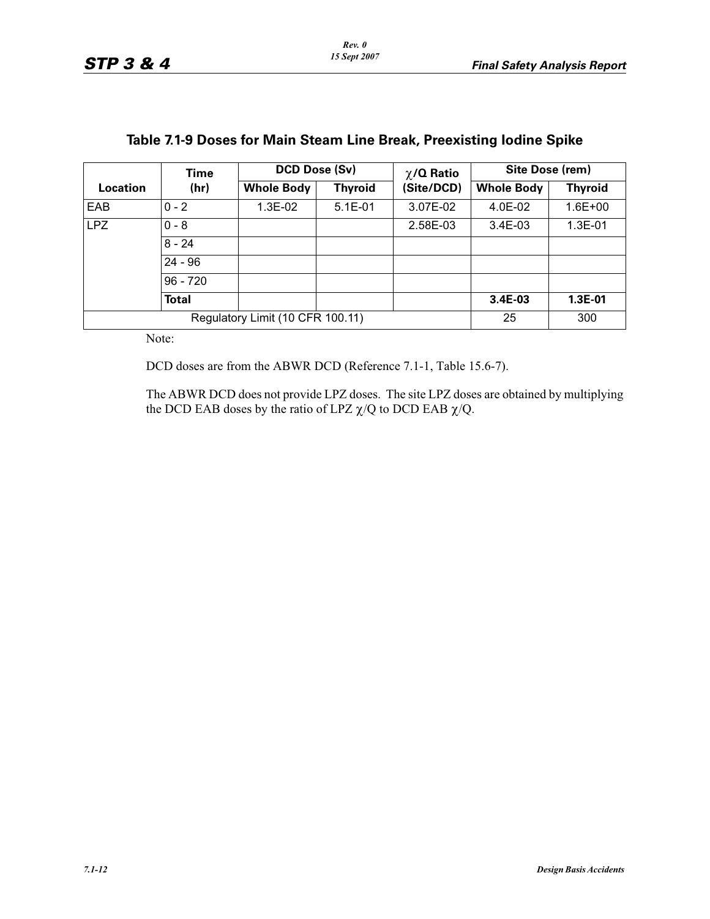|          | Time         |                                  | DCD Dose (Sv)  |            | Site Dose (rem)   |                |
|----------|--------------|----------------------------------|----------------|------------|-------------------|----------------|
| Location | (hr)         | <b>Whole Body</b>                | <b>Thyroid</b> | (Site/DCD) | <b>Whole Body</b> | <b>Thyroid</b> |
| EAB      | $0 - 2$      | 1.3E-02                          | $5.1E-01$      | 3.07E-02   | $4.0E-02$         | $1.6E + 00$    |
| LPZ.     | $0 - 8$      |                                  |                | 2.58E-03   | $3.4E-03$         | $1.3E-01$      |
|          | $8 - 24$     |                                  |                |            |                   |                |
|          | $24 - 96$    |                                  |                |            |                   |                |
|          | $96 - 720$   |                                  |                |            |                   |                |
|          | <b>Total</b> |                                  |                |            | 3.4E-03           | 1.3E-01        |
|          |              | Regulatory Limit (10 CFR 100.11) |                |            | 25                | 300            |

# **Table 7.1-9 Doses for Main Steam Line Break, Preexisting Iodine Spike**

Note:

DCD doses are from the ABWR DCD (Reference 7.1-1, Table 15.6-7).

The ABWR DCD does not provide LPZ doses. The site LPZ doses are obtained by multiplying the DCD EAB doses by the ratio of LPZ  $\chi$ /Q to DCD EAB  $\chi$ /Q.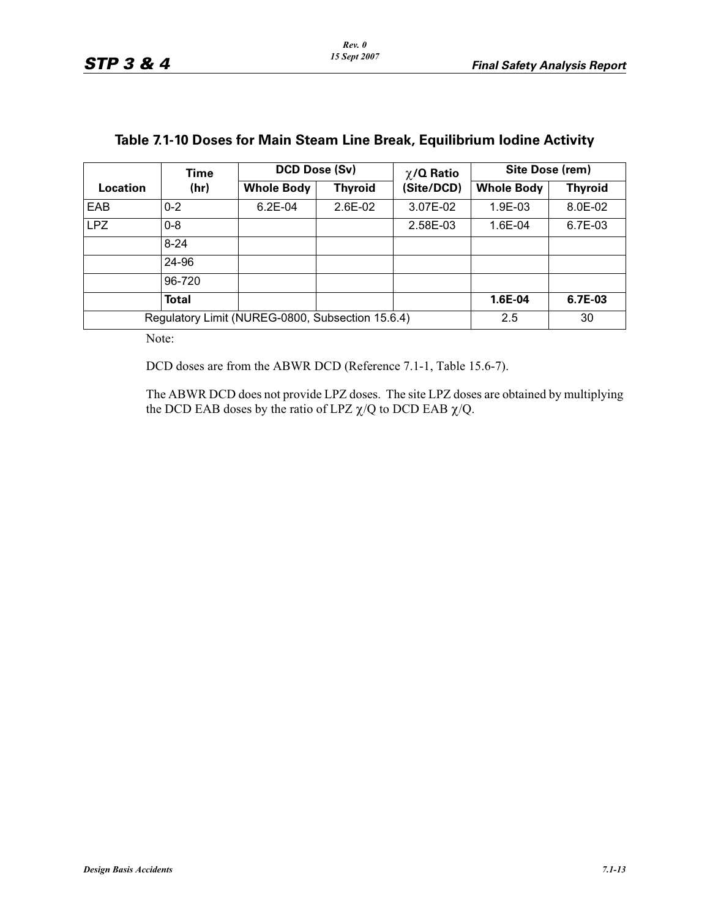|            | Time         |                                                  | DCD Dose (Sv)<br>Site Dose (rem)<br>$\chi$ /Q Ratio |            |                   |                |
|------------|--------------|--------------------------------------------------|-----------------------------------------------------|------------|-------------------|----------------|
| Location   | (hr)         | <b>Whole Body</b>                                | <b>Thyroid</b>                                      | (Site/DCD) | <b>Whole Body</b> | <b>Thyroid</b> |
| EAB        | $0 - 2$      | $6.2E-04$                                        | $2.6E-02$                                           | 3.07E-02   | 1.9E-03           | 8.0E-02        |
| <b>LPZ</b> | $0 - 8$      |                                                  |                                                     | 2.58E-03   | 1.6E-04           | 6.7E-03        |
|            | $8 - 24$     |                                                  |                                                     |            |                   |                |
|            | 24-96        |                                                  |                                                     |            |                   |                |
|            | 96-720       |                                                  |                                                     |            |                   |                |
|            | <b>Total</b> |                                                  |                                                     |            | 1.6E-04           | 6.7E-03        |
|            |              | Regulatory Limit (NUREG-0800, Subsection 15.6.4) |                                                     |            | 2.5               | 30             |

### **Table 7.1-10 Doses for Main Steam Line Break, Equilibrium Iodine Activity**

Note:

DCD doses are from the ABWR DCD (Reference 7.1-1, Table 15.6-7).

The ABWR DCD does not provide LPZ doses. The site LPZ doses are obtained by multiplying the DCD EAB doses by the ratio of LPZ  $\chi$ /Q to DCD EAB  $\chi$ /Q.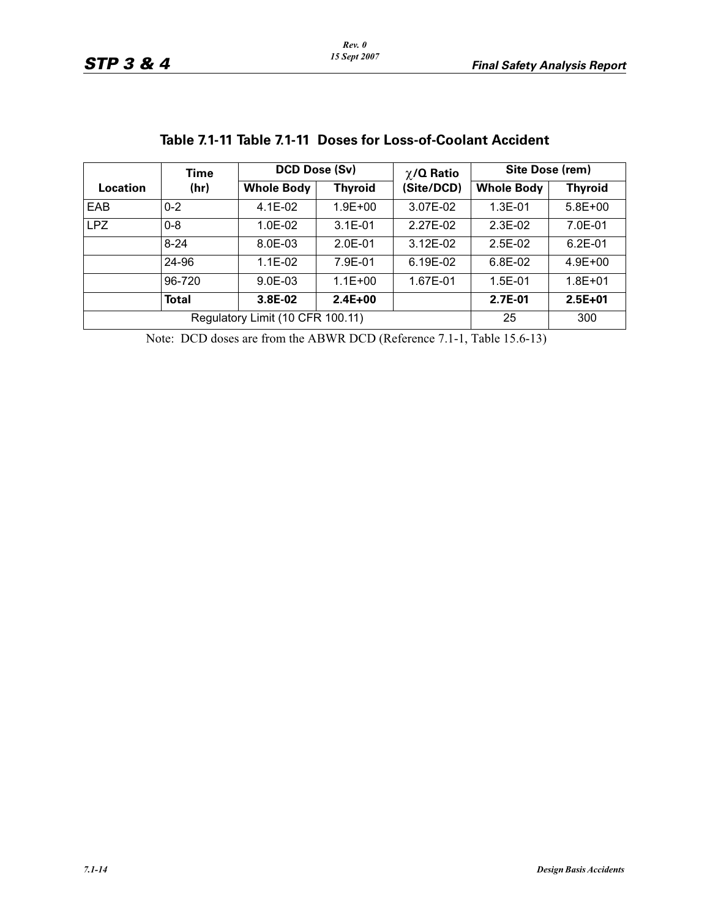|            | Time         |                                  | DCD Dose (Sv)  |                               | Site Dose (rem)   |                |
|------------|--------------|----------------------------------|----------------|-------------------------------|-------------------|----------------|
| Location   | (hr)         | <b>Whole Body</b>                | <b>Thyroid</b> | $\chi$ /Q Ratio<br>(Site/DCD) | <b>Whole Body</b> | <b>Thyroid</b> |
| EAB        | $0 - 2$      | 4.1E-02                          | $1.9E + 00$    | 3.07E-02                      | $1.3E-01$         | $5.8E + 00$    |
| <b>LPZ</b> | $0 - 8$      | $1.0E-02$                        | $3.1E - 01$    | 2.27E-02                      | $2.3E-02$         | 7.0E-01        |
|            | $8 - 24$     | 8.0E-03                          | $2.0E - 01$    | 3.12E-02                      | $2.5E-02$         | $6.2E - 01$    |
|            | 24-96        | $1.1E-02$                        | 7.9E-01        | 6.19E-02                      | 6.8E-02           | $4.9E + 00$    |
|            | 96-720       | 9.0E-03                          | $1.1E + 00$    | 1.67E-01                      | $1.5E-01$         | $1.8E + 01$    |
|            | <b>Total</b> | 3.8E-02                          | $2.4E + 00$    |                               | 2.7E-01           | $2.5E+01$      |
|            |              | Regulatory Limit (10 CFR 100.11) |                |                               | 25                | 300            |

# **Table 7.1-11 Table 7.1-11 Doses for Loss-of-Coolant Accident**

Note: DCD doses are from the ABWR DCD (Reference 7.1-1, Table 15.6-13)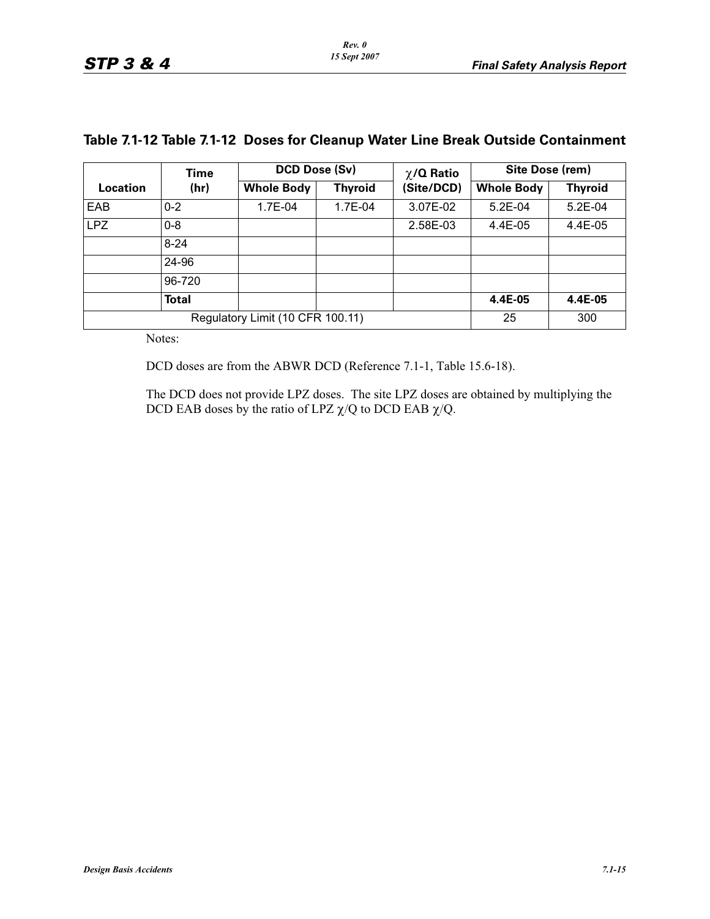|                                  | Time<br>(hr) | DCD Dose (Sv)     |                | $\chi$ /Q Ratio | Site Dose (rem)   |                |  |
|----------------------------------|--------------|-------------------|----------------|-----------------|-------------------|----------------|--|
| Location                         |              | <b>Whole Body</b> | <b>Thyroid</b> | (Site/DCD)      | <b>Whole Body</b> | <b>Thyroid</b> |  |
| EAB                              | $0 - 2$      | 1.7E-04           | 1.7E-04        | 3.07E-02        | $5.2E-04$         | $5.2E-04$      |  |
| <b>LPZ</b>                       | $0 - 8$      |                   |                | 2.58E-03        | 4.4E-05           | 4.4E-05        |  |
|                                  | $8 - 24$     |                   |                |                 |                   |                |  |
|                                  | 24-96        |                   |                |                 |                   |                |  |
|                                  | 96-720       |                   |                |                 |                   |                |  |
|                                  | <b>Total</b> |                   |                |                 | 4.4E-05           | 4.4E-05        |  |
| Regulatory Limit (10 CFR 100.11) |              |                   |                |                 | 25                | 300            |  |

### **Table 7.1-12 Table 7.1-12 Doses for Cleanup Water Line Break Outside Containment**

Notes:

DCD doses are from the ABWR DCD (Reference 7.1-1, Table 15.6-18).

The DCD does not provide LPZ doses. The site LPZ doses are obtained by multiplying the DCD EAB doses by the ratio of LPZ  $\chi$ /Q to DCD EAB  $\chi$ /Q.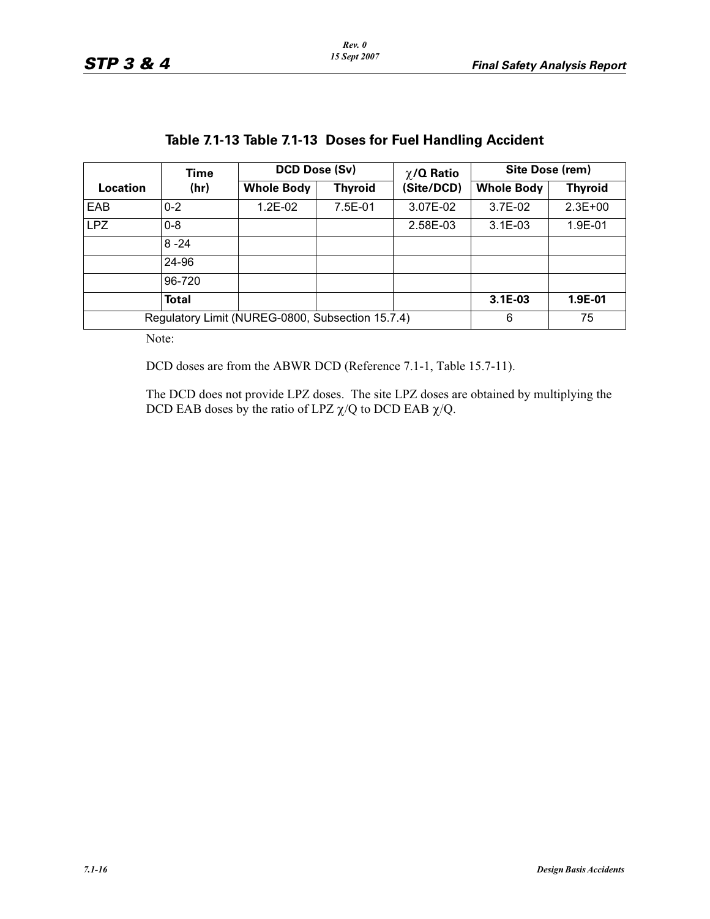| Location                                         | Time<br>(hr) | DCD Dose (Sv)     |                | $\chi$ /Q Ratio | Site Dose (rem)   |                |  |
|--------------------------------------------------|--------------|-------------------|----------------|-----------------|-------------------|----------------|--|
|                                                  |              | <b>Whole Body</b> | <b>Thyroid</b> | (Site/DCD)      | <b>Whole Body</b> | <b>Thyroid</b> |  |
| EAB                                              | $0 - 2$      | $1.2E-02$         | 7.5E-01        | 3.07E-02        | $3.7E-02$         | $2.3E+00$      |  |
| <b>LPZ</b>                                       | $0 - 8$      |                   |                | 2.58E-03        | $3.1E - 03$       | 1.9E-01        |  |
|                                                  | $8 - 24$     |                   |                |                 |                   |                |  |
|                                                  | 24-96        |                   |                |                 |                   |                |  |
|                                                  | 96-720       |                   |                |                 |                   |                |  |
|                                                  | Total        |                   |                |                 | 3.1E-03           | 1.9E-01        |  |
| Regulatory Limit (NUREG-0800, Subsection 15.7.4) |              |                   |                |                 | 6                 | 75             |  |

## **Table 7.1-13 Table 7.1-13 Doses for Fuel Handling Accident**

Note:

DCD doses are from the ABWR DCD (Reference 7.1-1, Table 15.7-11).

The DCD does not provide LPZ doses. The site LPZ doses are obtained by multiplying the DCD EAB doses by the ratio of LPZ  $\chi$ /Q to DCD EAB  $\chi$ /Q.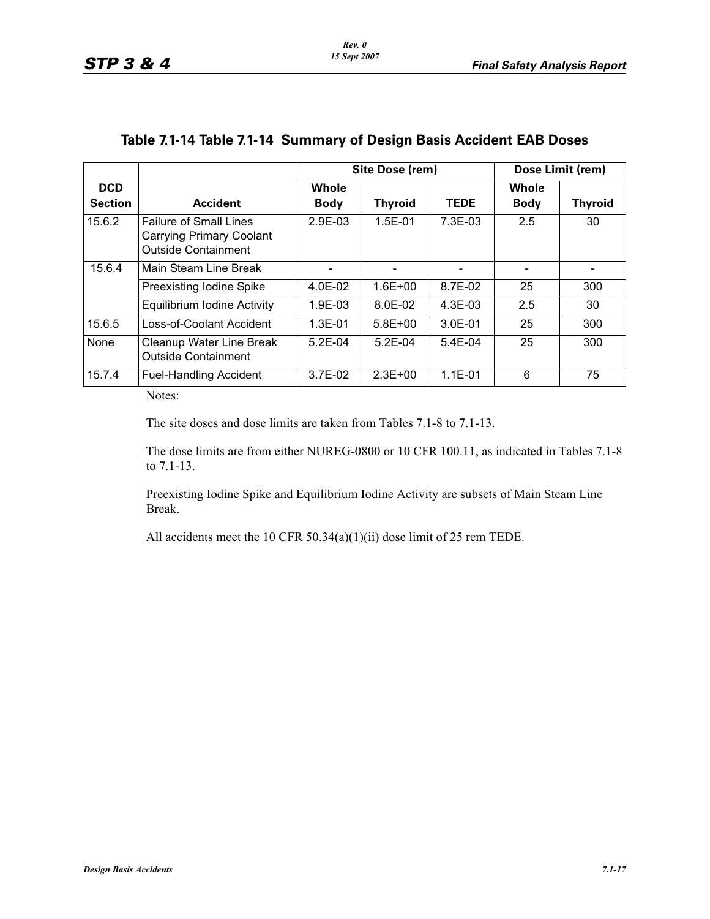|                              |                                                                                                | Site Dose (rem)      |                |             | Dose Limit (rem)     |                |
|------------------------------|------------------------------------------------------------------------------------------------|----------------------|----------------|-------------|----------------------|----------------|
| <b>DCD</b><br><b>Section</b> | <b>Accident</b>                                                                                | Whole<br><b>Body</b> | <b>Thyroid</b> | <b>TEDE</b> | Whole<br><b>Body</b> | <b>Thyroid</b> |
| 15.6.2                       | <b>Failure of Small Lines</b><br><b>Carrying Primary Coolant</b><br><b>Outside Containment</b> | 2.9E-03              | $1.5E-01$      | $7.3E-0.3$  | 2.5                  | 30             |
| 15.6.4                       | Main Steam Line Break                                                                          |                      |                |             |                      |                |
|                              | Preexisting Iodine Spike                                                                       | 4.0E-02              | $1.6E + 00$    | 8.7E-02     | 25                   | 300            |
|                              | Equilibrium Iodine Activity                                                                    | 1.9E-03              | $8.0E - 02$    | $4.3E-0.3$  | 2.5                  | 30             |
| 15.6.5                       | Loss-of-Coolant Accident                                                                       | $1.3E - 01$          | $5.8E + 00$    | 3.0E-01     | 25                   | 300            |
| None                         | Cleanup Water Line Break<br><b>Outside Containment</b>                                         | $5.2E-04$            | $5.2E-04$      | $5.4E-04$   | 25                   | 300            |
| 15.7.4                       | <b>Fuel-Handling Accident</b>                                                                  | $3.7E-02$            | $2.3E + 00$    | $1.1E - 01$ | 6                    | 75             |

### **Table 7.1-14 Table 7.1-14 Summary of Design Basis Accident EAB Doses**

Notes:

The site doses and dose limits are taken from Tables 7.1-8 to 7.1-13.

The dose limits are from either NUREG-0800 or 10 CFR 100.11, as indicated in Tables 7.1-8 to 7.1-13.

Preexisting Iodine Spike and Equilibrium Iodine Activity are subsets of Main Steam Line Break.

All accidents meet the 10 CFR 50.34(a)(1)(ii) dose limit of 25 rem TEDE.